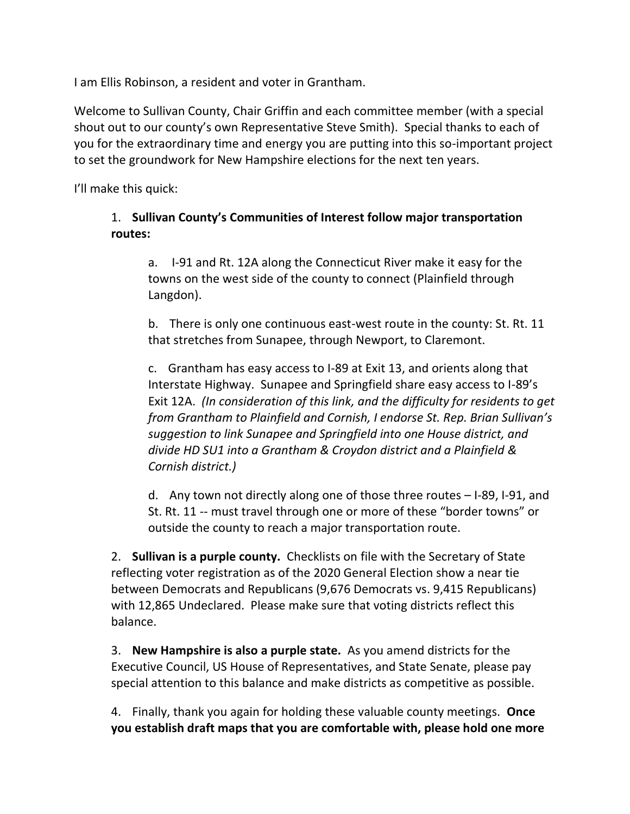I am Ellis Robinson, a resident and voter in Grantham.

Welcome to Sullivan County, Chair Griffin and each committee member (with a special shout out to our county's own Representative Steve Smith). Special thanks to each of you for the extraordinary time and energy you are putting into this so-important project to set the groundwork for New Hampshire elections for the next ten years.

I'll make this quick:

## 1. **Sullivan County's Communities of Interest follow major transportation routes:**

a. I-91 and Rt. 12A along the Connecticut River make it easy for the towns on the west side of the county to connect (Plainfield through Langdon).

b. There is only one continuous east-west route in the county: St. Rt. 11 that stretches from Sunapee, through Newport, to Claremont.

c. Grantham has easy access to I-89 at Exit 13, and orients along that Interstate Highway. Sunapee and Springfield share easy access to I-89's Exit 12A. *(In consideration of this link, and the difficulty for residents to get from Grantham to Plainfield and Cornish, I endorse St. Rep. Brian Sullivan's suggestion to link Sunapee and Springfield into one House district, and divide HD SU1 into a Grantham & Croydon district and a Plainfield & Cornish district.)*

d. Any town not directly along one of those three routes – I-89, I-91, and St. Rt. 11 -- must travel through one or more of these "border towns" or outside the county to reach a major transportation route.

2. **Sullivan is a purple county.** Checklists on file with the Secretary of State reflecting voter registration as of the 2020 General Election show a near tie between Democrats and Republicans (9,676 Democrats vs. 9,415 Republicans) with 12,865 Undeclared. Please make sure that voting districts reflect this balance.

3. **New Hampshire is also a purple state.** As you amend districts for the Executive Council, US House of Representatives, and State Senate, please pay special attention to this balance and make districts as competitive as possible.

4. Finally, thank you again for holding these valuable county meetings. **Once you establish draft maps that you are comfortable with, please hold one more**